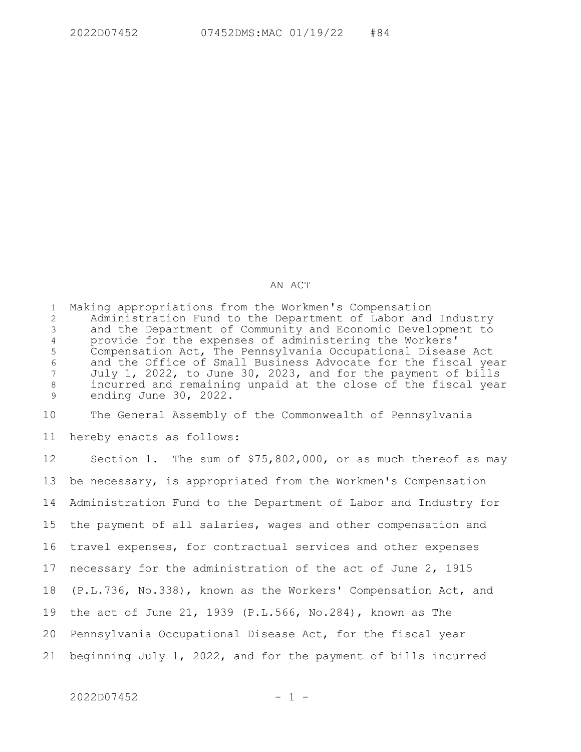## AN ACT

Making appropriations from the Workmen's Compensation Administration Fund to the Department of Labor and Industry and the Department of Community and Economic Development to provide for the expenses of administering the Workers' Compensation Act, The Pennsylvania Occupational Disease Act and the Office of Small Business Advocate for the fiscal year July 1, 2022, to June 30, 2023, and for the payment of bills incurred and remaining unpaid at the close of the fiscal year ending June 30, 2022. 1 2 3 4 5 6 7 8 9

The General Assembly of the Commonwealth of Pennsylvania 10

hereby enacts as follows: 11

Section 1. The sum of \$75,802,000, or as much thereof as may be necessary, is appropriated from the Workmen's Compensation Administration Fund to the Department of Labor and Industry for the payment of all salaries, wages and other compensation and travel expenses, for contractual services and other expenses necessary for the administration of the act of June 2, 1915 (P.L.736, No.338), known as the Workers' Compensation Act, and the act of June 21, 1939 (P.L.566, No.284), known as The Pennsylvania Occupational Disease Act, for the fiscal year beginning July 1, 2022, and for the payment of bills incurred 12 13 14 15 16 17 18 19 20 21